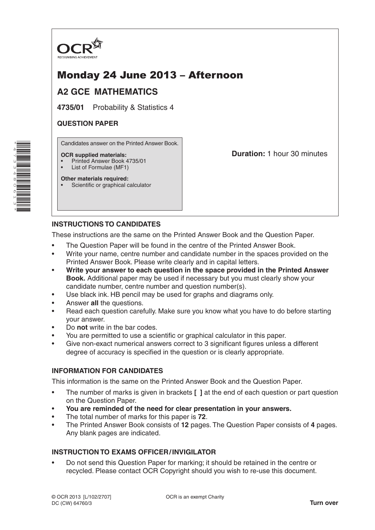

# Monday 24 June 2013 – Afternoon

# **A2 GCE MATHEMATICS**

**4735/01** Probability & Statistics 4

## **QUESTION PAPER**

Candidates answer on the Printed Answer Book.

#### **OCR supplied materials:**

- Printed Answer Book 4735/01
- List of Formulae (MF1)

**Other materials required:** Scientific or graphical calculator **Duration:** 1 hour 30 minutes

## **INSTRUCTIONS TO CANDIDATES**

These instructions are the same on the Printed Answer Book and the Question Paper.

- The Question Paper will be found in the centre of the Printed Answer Book.
- Write your name, centre number and candidate number in the spaces provided on the Printed Answer Book. Please write clearly and in capital letters.
- **Write your answer to each question in the space provided in the Printed Answer Book.** Additional paper may be used if necessary but you must clearly show your candidate number, centre number and question number(s).
- Use black ink. HB pencil may be used for graphs and diagrams only.
- Answer **all** the questions.
- Read each question carefully. Make sure you know what you have to do before starting your answer.
- Do **not** write in the bar codes.
- You are permitted to use a scientific or graphical calculator in this paper.
- Give non-exact numerical answers correct to 3 significant figures unless a different degree of accuracy is specified in the question or is clearly appropriate.

#### **INFORMATION FOR CANDIDATES**

This information is the same on the Printed Answer Book and the Question Paper.

- The number of marks is given in brackets **[ ]** at the end of each question or part question on the Question Paper.
- **You are reminded of the need for clear presentation in your answers.**
- The total number of marks for this paper is **72**.
- The Printed Answer Book consists of **12** pages. The Question Paper consists of **4** pages. Any blank pages are indicated.

## **INSTRUCTION TO EXAMS OFFICER/INVIGILATOR**

• Do not send this Question Paper for marking; it should be retained in the centre or recycled. Please contact OCR Copyright should you wish to re-use this document.

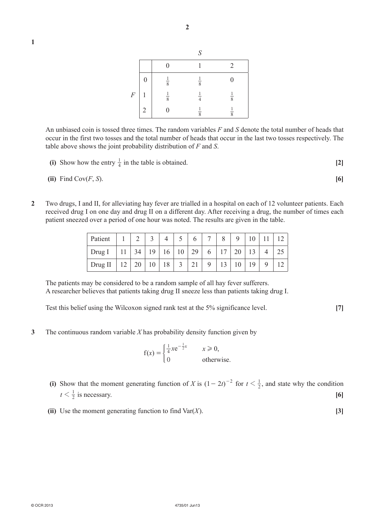| I |  |  |
|---|--|--|
|   |  |  |
|   |  |  |
|   |  |  |



An unbiased coin is tossed three times. The random variables *F* and *S* denote the total number of heads that occur in the first two tosses and the total number of heads that occur in the last two tosses respectively. The table above shows the joint probability distribution of *F* and *S*.

(i) Show how the entry 
$$
\frac{1}{4}
$$
 in the table is obtained. [2]

(ii) Find 
$$
\text{Cov}(F, S)
$$
. [6]

**2**  Two drugs, I and II, for alleviating hay fever are trialled in a hospital on each of 12 volunteer patients. Each received drug I on one day and drug II on a different day. After receiving a drug, the number of times each patient sneezed over a period of one hour was noted. The results are given in the table.

| Patient                                                     | $1 \mid 2 \mid$ | 4 | $\frac{1}{5}$ | 6 <sup>1</sup> | 7 <sup>1</sup> | 8 <sup>1</sup> | 9   10   11   12                 |   |    |
|-------------------------------------------------------------|-----------------|---|---------------|----------------|----------------|----------------|----------------------------------|---|----|
| Drug I   11   34   19   16   10   29   6   17   20   13   4 |                 |   |               |                |                |                |                                  |   | 25 |
| Drug II   12   20   10   18   3                             |                 |   |               | 21             |                |                | $9 \mid 13 \mid 10 \mid 19 \mid$ | 9 | 12 |

The patients may be considered to be a random sample of all hay fever sufferers. A researcher believes that patients taking drug II sneeze less than patients taking drug I.

Test this belief using the Wilcoxon signed rank test at the 5% significance level. **[7]**

**3**  The continuous random variable *X* has probability density function given by

$$
f(x) = \begin{cases} \frac{1}{4}xe^{-\frac{1}{2}x} & x \ge 0, \\ 0 & \text{otherwise.} \end{cases}
$$

- **(i)** Show that the moment generating function of *X* is  $(1 2t)^{-2}$  for  $t < \frac{1}{2}$ , and state why the condition  $t < \frac{1}{2}$  is necessary. **[6]** 
	- **(ii)** Use the moment generating function to find  $\text{Var}(X)$ . [3]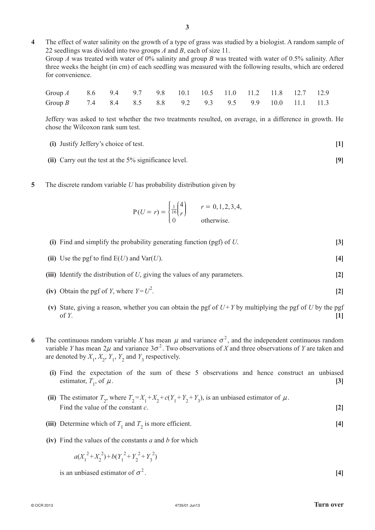**4**  The effect of water salinity on the growth of a type of grass was studied by a biologist. A random sample of 22 seedlings was divided into two groups *A* and *B*, each of size 11. Group *A* was treated with water of 0% salinity and group *B* was treated with water of 0.5% salinity. After three weeks the height (in cm) of each seedling was measured with the following results, which are ordered for convenience.

| Group A 8.6 9.4 9.7 9.8 10.1 10.5 11.0 11.2 11.8 12.7 12.9 |  |  |  |  |  |  |
|------------------------------------------------------------|--|--|--|--|--|--|
| Group B 7.4 8.4 8.5 8.8 9.2 9.3 9.5 9.9 10.0 11.1 11.3     |  |  |  |  |  |  |

Jeffery was asked to test whether the two treatments resulted, on average, in a difference in growth. He chose the Wilcoxon rank sum test.

- **(i)**  Justify Jeffery's choice of test. **[1]**
- **(ii)** Carry out the test at the 5% significance level. **[9]**
- **5**  The discrete random variable *U* has probability distribution given by

$$
P(U=r) = \begin{cases} \frac{1}{16} \binom{4}{r} & r = 0, 1, 2, 3, 4, \\ 0 & \text{otherwise.} \end{cases}
$$

- **(i)** Find and simplify the probability generating function (pgf) of *U*. **[3]**
- **(ii)** Use the pgf to find  $E(U)$  and  $Var(U)$ . **[4]**
- **(iii)** Identify the distribution of *U*, giving the values of any parameters. **[2]**
- **(iv)** Obtain the pgf of *Y*, where  $Y = U^2$ . . **[2]**
- **(v)** State, giving a reason, whether you can obtain the pgf of  $U + Y$  by multiplying the pgf of *U* by the pgf of *Y*. **[1]**
- **6** The continuous random variable *X* has mean  $\mu$  and variance  $\sigma^2$ , and the independent continuous random variable *Y* has mean  $2\mu$  and variance  $3\sigma^2$ . Two observations of *X* and three observations of *Y* are taken and are denoted by  $X_1, X_2, Y_1, Y_2$  and  $Y_3$  respectively.
	- **(i)**  Find the expectation of the sum of these 5 observations and hence construct an unbiased estimator,  $T_1$ , of  $\mu$ . , of  $\mu$ . **[3]**
- (ii) The estimator  $T_2$ , where  $T_2 = X_1 + X_2 + c(Y_1 + Y_2 + Y_3)$ , is an unbiased estimator of  $\mu$ . Find the value of the constant  $c$ . **[2]**
- (iii) Determine which of  $T_1$  and  $T_2$  is more efficient. **[4]** 
	- **(iv)**  Find the values of the constants *a* and *b* for which

 $a(X_1^2 + X_2^2) + b(Y_1^2 + Y_2^2 + Y_3^2)$ 

is an unbiased estimator of  $\sigma^2$ . [4]